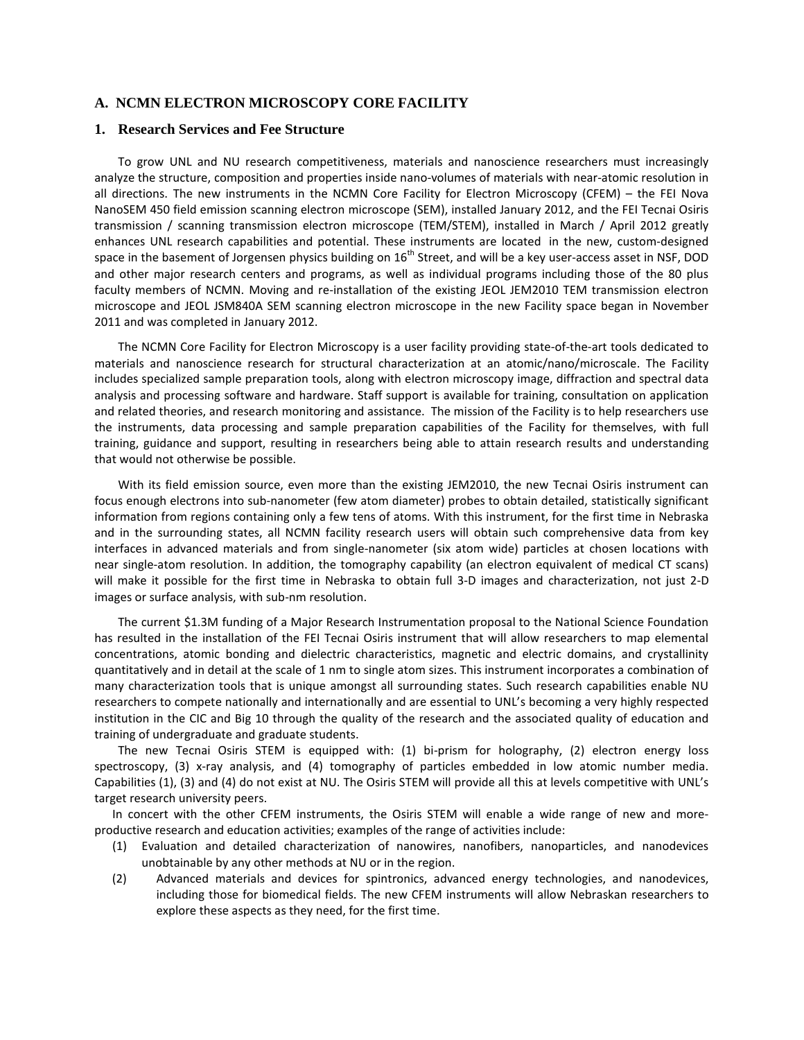#### **A. NCMN ELECTRON MICROSCOPY CORE FACILITY**

#### **1. Research Services and Fee Structure**

To grow UNL and NU research competitiveness, materials and nanoscience researchers must increasingly analyze the structure, composition and properties inside nano-volumes of materials with near-atomic resolution in all directions. The new instruments in the NCMN Core Facility for Electron Microscopy (CFEM) – the FEI Nova NanoSEM 450 field emission scanning electron microscope (SEM), installed January 2012, and the FEI Tecnai Osiris transmission / scanning transmission electron microscope (TEM/STEM), installed in March / April 2012 greatly enhances UNL research capabilities and potential. These instruments are located in the new, custom-designed space in the basement of Jorgensen physics building on  $16<sup>th</sup>$  Street, and will be a key user-access asset in NSF, DOD and other major research centers and programs, as well as individual programs including those of the 80 plus faculty members of NCMN. Moving and re-installation of the existing JEOL JEM2010 TEM transmission electron microscope and JEOL JSM840A SEM scanning electron microscope in the new Facility space began in November 2011 and was completed in January 2012.

The NCMN Core Facility for Electron Microscopy is a user facility providing state-of-the-art tools dedicated to materials and nanoscience research for structural characterization at an atomic/nano/microscale. The Facility includes specialized sample preparation tools, along with electron microscopy image, diffraction and spectral data analysis and processing software and hardware. Staff support is available for training, consultation on application and related theories, and research monitoring and assistance. The mission of the Facility is to help researchers use the instruments, data processing and sample preparation capabilities of the Facility for themselves, with full training, guidance and support, resulting in researchers being able to attain research results and understanding that would not otherwise be possible.

With its field emission source, even more than the existing JEM2010, the new Tecnai Osiris instrument can focus enough electrons into sub-nanometer (few atom diameter) probes to obtain detailed, statistically significant information from regions containing only a few tens of atoms. With this instrument, for the first time in Nebraska and in the surrounding states, all NCMN facility research users will obtain such comprehensive data from key interfaces in advanced materials and from single-nanometer (six atom wide) particles at chosen locations with near single-atom resolution. In addition, the tomography capability (an electron equivalent of medical CT scans) will make it possible for the first time in Nebraska to obtain full 3-D images and characterization, not just 2-D images or surface analysis, with sub-nm resolution.

The current \$1.3M funding of a Major Research Instrumentation proposal to the National Science Foundation has resulted in the installation of the FEI Tecnai Osiris instrument that will allow researchers to map elemental concentrations, atomic bonding and dielectric characteristics, magnetic and electric domains, and crystallinity quantitatively and in detail at the scale of 1 nm to single atom sizes. This instrument incorporates a combination of many characterization tools that is unique amongst all surrounding states. Such research capabilities enable NU researchers to compete nationally and internationally and are essential to UNL's becoming a very highly respected institution in the CIC and Big 10 through the quality of the research and the associated quality of education and training of undergraduate and graduate students.

The new Tecnai Osiris STEM is equipped with: (1) bi-prism for holography, (2) electron energy loss spectroscopy, (3) x-ray analysis, and (4) tomography of particles embedded in low atomic number media. Capabilities (1), (3) and (4) do not exist at NU. The Osiris STEM will provide all this at levels competitive with UNL's target research university peers.

In concert with the other CFEM instruments, the Osiris STEM will enable a wide range of new and moreproductive research and education activities; examples of the range of activities include:

- (1) Evaluation and detailed characterization of nanowires, nanofibers, nanoparticles, and nanodevices unobtainable by any other methods at NU or in the region.
- (2) Advanced materials and devices for spintronics, advanced energy technologies, and nanodevices, including those for biomedical fields. The new CFEM instruments will allow Nebraskan researchers to explore these aspects as they need, for the first time.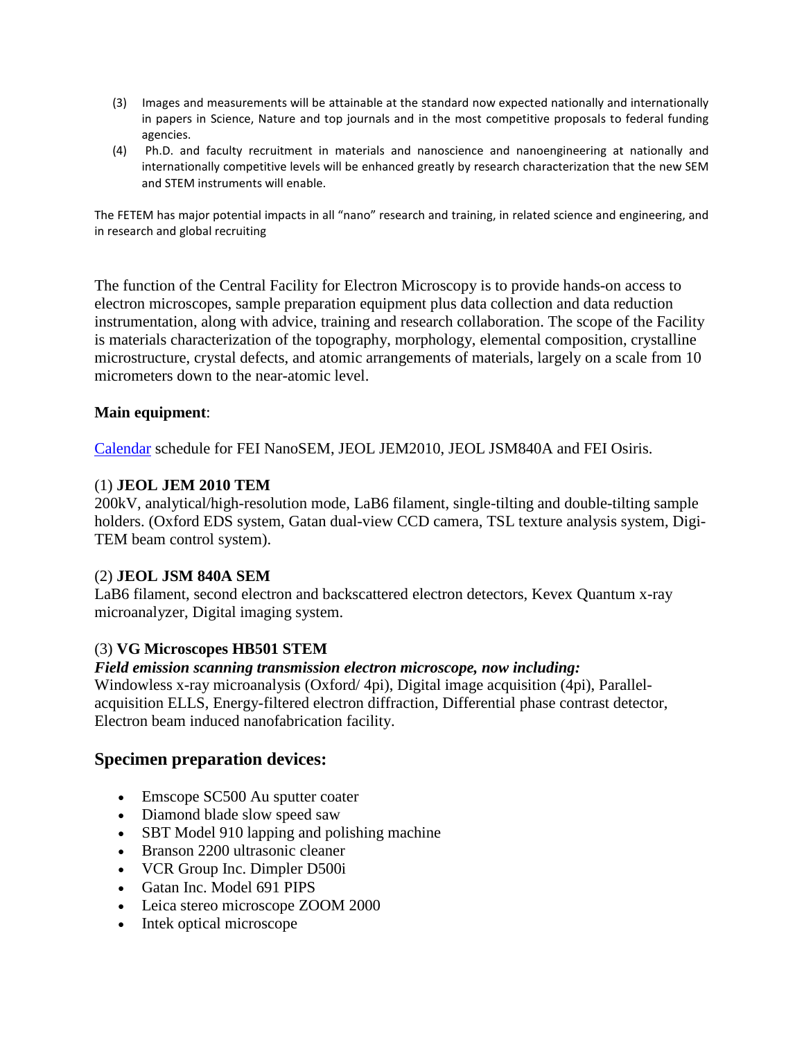- (3) Images and measurements will be attainable at the standard now expected nationally and internationally in papers in Science, Nature and top journals and in the most competitive proposals to federal funding agencies.
- (4) Ph.D. and faculty recruitment in materials and nanoscience and nanoengineering at nationally and internationally competitive levels will be enhanced greatly by research characterization that the new SEM and STEM instruments will enable.

The FETEM has major potential impacts in all "nano" research and training, in related science and engineering, and in research and global recruiting

The function of the Central Facility for Electron Microscopy is to provide hands-on access to electron microscopes, sample preparation equipment plus data collection and data reduction instrumentation, along with advice, training and research collaboration. The scope of the Facility is materials characterization of the topography, morphology, elemental composition, crystalline microstructure, crystal defects, and atomic arrangements of materials, largely on a scale from 10 micrometers down to the near-atomic level.

### **Main equipment**:

[Calendar](http://ncmn.unl.edu/cfem/calendar.shtml) schedule for FEI NanoSEM, JEOL JEM2010, JEOL JSM840A and FEI Osiris.

### (1) **JEOL JEM 2010 TEM**

200kV, analytical/high-resolution mode, LaB6 filament, single-tilting and double-tilting sample holders. (Oxford EDS system, Gatan dual-view CCD camera, TSL texture analysis system, Digi-TEM beam control system).

### (2) **JEOL JSM 840A SEM**

LaB6 filament, second electron and backscattered electron detectors, Kevex Quantum x-ray microanalyzer, Digital imaging system.

# (3) **VG Microscopes HB501 STEM**

### *Field emission scanning transmission electron microscope, now including:*

Windowless x-ray microanalysis (Oxford/ 4pi), Digital image acquisition (4pi), Parallelacquisition ELLS, Energy-filtered electron diffraction, Differential phase contrast detector, Electron beam induced nanofabrication facility.

# **Specimen preparation devices:**

- Emscope SC500 Au sputter coater
- Diamond blade slow speed saw
- SBT Model 910 lapping and polishing machine
- Branson 2200 ultrasonic cleaner
- VCR Group Inc. Dimpler D500i
- Gatan Inc. Model 691 PIPS
- Leica stereo microscope ZOOM 2000
- Intek optical microscope